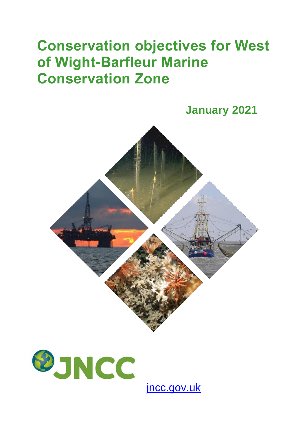## **Conservation objectives for West of Wight-Barfleur Marine Conservation Zone**





[jncc.gov.uk](https://jncc.gov.uk/)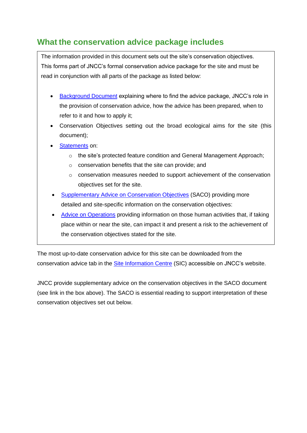## **What the conservation advice package includes**

The information provided in this document sets out the site's conservation objectives. This forms part of JNCC's formal conservation advice package for the site and must be read in conjunction with all parts of the package as listed below:

- [Background](https://hub.jncc.gov.uk/assets/fe2399b2-ea2e-40ed-be59-71f98a7a488f#WestofWightBarfleur-Background-V1.0.pdf) Document explaining where to find the advice package, JNCC's role in the provision of conservation advice, how the advice has been prepared, when to refer to it and how to apply it;
- Conservation Objectives setting out the broad ecological aims for the site (this document);
- [Statements](https://hub.jncc.gov.uk/assets/fe2399b2-ea2e-40ed-be59-71f98a7a488f#WestofWightBarfleur-ConservationStatements-V1.0.pdf) on:
	- $\circ$  the site's protected feature condition and General Management Approach;
	- o conservation benefits that the site can provide; and
	- o conservation measures needed to support achievement of the conservation objectives set for the site.
- [Supplementary Advice on Conservation Objectives](https://hub.jncc.gov.uk/assets/fe2399b2-ea2e-40ed-be59-71f98a7a488f#WestofWightBarfleur-SACO-V1.0.pdf) (SACO) providing more detailed and site-specific information on the conservation objectives:
- [Advice on Operations](https://hub.jncc.gov.uk/assets/fe2399b2-ea2e-40ed-be59-71f98a7a488f#WestofWightBarfleur-AdviceOnOperations-V1.0.xlsx) providing information on those human activities that, if taking place within or near the site, can impact it and present a risk to the achievement of the conservation objectives stated for the site.

The most up-to-date conservation advice for this site can be downloaded from the conservation advice tab in the [Site Information Centre](https://jncc.gov.uk/our-work/west-of-wight-barfleur-mpa/) (SIC) accessible on JNCC's website.

JNCC provide supplementary advice on the conservation objectives in the SACO document (see link in the box above). The SACO is essential reading to support interpretation of these conservation objectives set out below.